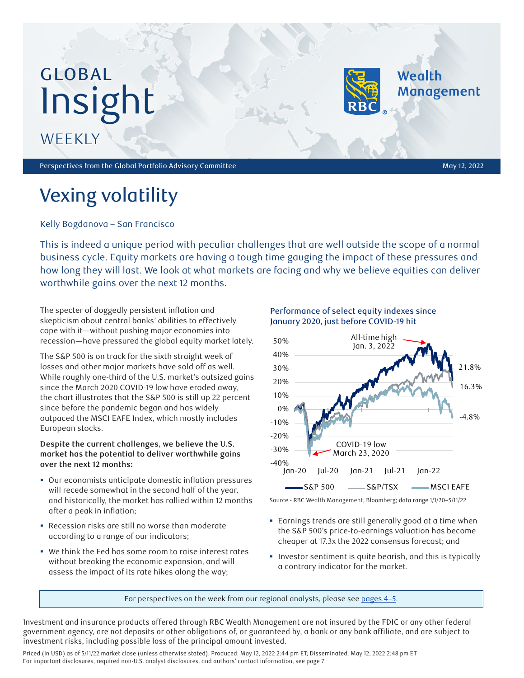# GLOBAL Insight

**WEEKLY** 

Perspectives from the Global Portfolio Advisory Committee May 12, 2022 and the May 12, 2022

Wealth

**Management** 

## Vexing volatility

Kelly Bogdanova – San Francisco

This is indeed a unique period with peculiar challenges that are well outside the scope of a normal business cycle. Equity markets are having a tough time gauging the impact of these pressures and how long they will last. We look at what markets are facing and why we believe equities can deliver worthwhile gains over the next 12 months.

The specter of doggedly persistent inflation and skepticism about central banks' abilities to effectively cope with it—without pushing major economies into recession—have pressured the global equity market lately.

The S&P 500 is on track for the sixth straight week of losses and other major markets have sold off as well. While roughly one-third of the U.S. market's outsized gains since the March 2020 COVID-19 low have eroded away, the chart illustrates that the S&P 500 is still up 22 percent since before the pandemic began and has widely outpaced the MSCI EAFE Index, which mostly includes European stocks.

#### **Despite the current challenges, we believe the U.S. market has the potential to deliver worthwhile gains over the next 12 months:**

- Our economists anticipate domestic inflation pressures will recede somewhat in the second half of the year, and historically, the market has rallied within 12 months after a peak in inflation;
- Recession risks are still no worse than moderate according to a range of our indicators;
- We think the Fed has some room to raise interest rates without breaking the economic expansion, and will assess the impact of its rate hikes along the way;

Performance of select equity indexes since January 2020, just before COVID-19 hit



Source - RBC Wealth Management, Bloomberg; data range 1/1/20–5/11/22

- Earnings trends are still generally good at a time when the S&P 500's price-to-earnings valuation has become cheaper at 17.3x the 2022 consensus forecast; and
- **Investor sentiment is quite bearish, and this is typically** a contrary indicator for the market.

For perspectives on the week from our regional analysts, please see pages 4-5.

Investment and insurance products offered through RBC Wealth Management are not insured by the FDIC or any other federal government agency, are not deposits or other obligations of, or guaranteed by, a bank or any bank affiliate, and are subject to investment risks, including possible loss of the principal amount invested.

Priced (in USD) as of 5/11/22 market close (unless otherwise stated). Produced: May 12, 2022 2:44 pm ET; Disseminated: May 12, 2022 2:48 pm ET For important disclosures, required non-U.S. analyst disclosures, and authors' contact information, see page 7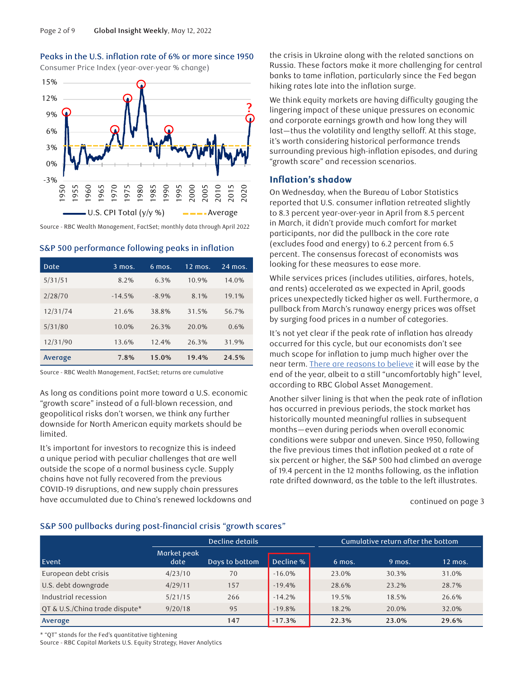

Peaks in the U.S. inflation rate of 6% or more since 1950

S&P 500 performance following peaks in inflation

| Date     | $3$ mos. | $6$ mos. | $12 \overline{mos.}$ | $24$ mos. |
|----------|----------|----------|----------------------|-----------|
| 5/31/51  | 8.2%     | 6.3%     | 10.9%                | 14.0%     |
| 2/28/70  | $-14.5%$ | $-8.9\%$ | 8.1%                 | 19.1%     |
| 12/31/74 | 21.6%    | 38.8%    | 31.5%                | 56.7%     |
| 5/31/80  | 10.0%    | 26.3%    | 20.0%                | 0.6%      |
| 12/31/90 | 13.6%    | 12.4%    | 26.3%                | 31.9%     |
| Average  | 7.8%     | 15.0%    | 19.4%                | 24.5%     |

Source - RBC Wealth Management, FactSet; returns are cumulative

As long as conditions point more toward a U.S. economic "growth scare" instead of a full-blown recession, and geopolitical risks don't worsen, we think any further downside for North American equity markets should be limited.

It's important for investors to recognize this is indeed a unique period with peculiar challenges that are well outside the scope of a normal business cycle. Supply chains have not fully recovered from the previous COVID-19 disruptions, and new supply chain pressures have accumulated due to China's renewed lockdowns and the crisis in Ukraine along with the related sanctions on Russia. These factors make it more challenging for central banks to tame inflation, particularly since the Fed began hiking rates late into the inflation surge.

We think equity markets are having difficulty gauging the lingering impact of these unique pressures on economic and corporate earnings growth and how long they will last—thus the volatility and lengthy selloff. At this stage, it's worth considering historical performance trends surrounding previous high-inflation episodes, and during "growth scare" and recession scenarios.

#### **Inflation's shadow**

On Wednesday, when the Bureau of Labor Statistics reported that U.S. consumer inflation retreated slightly to 8.3 percent year-over-year in April from 8.5 percent in March, it didn't provide much comfort for market participants, nor did the pullback in the core rate (excludes food and energy) to 6.2 percent from 6.5 percent. The consensus forecast of economists was looking for these measures to ease more.

While services prices (includes utilities, airfares, hotels, and rents) accelerated as we expected in April, goods prices unexpectedly ticked higher as well. Furthermore, a pullback from March's runaway energy prices was offset by surging food prices in a number of categories.

It's not yet clear if the peak rate of inflation has already occurred for this cycle, but our economists don't see much scope for inflation to jump much higher over the near term. [There are reasons to believe](https://www.rbcinsight.com/WM/Share/ResearchViewer/?SSS_11F30B34970F61258D1538664B7B48D2) it will ease by the end of the year, albeit to a still "uncomfortably high" level, according to RBC Global Asset Management.

Another silver lining is that when the peak rate of inflation has occurred in previous periods, the stock market has historically mounted meaningful rallies in subsequent months—even during periods when overall economic conditions were subpar and uneven. Since 1950, following the five previous times that inflation peaked at a rate of six percent or higher, the S&P 500 had climbed an average of 19.4 percent in the 12 months following, as the inflation rate drifted downward, as the table to the left illustrates.

continued on page 3

#### S&P 500 pullbacks during post-financial crisis "growth scares"

|                                |                     | Decline details |           | Cumulative return after the bottom |          |           |
|--------------------------------|---------------------|-----------------|-----------|------------------------------------|----------|-----------|
| Event                          | Market peak<br>date | Days to bottom  | Decline % | 6 mos.                             | $9$ mos. | $12$ mos. |
| European debt crisis           | 4/23/10             | 70              | $-16.0%$  | 23.0%                              | 30.3%    | 31.0%     |
| U.S. debt downgrade            | 4/29/11             | 157             | $-19.4%$  | 28.6%                              | 23.2%    | 28.7%     |
| Industrial recession           | 5/21/15             | 266             | $-14.2%$  | 19.5%                              | 18.5%    | 26.6%     |
| OT & U.S./Ching trade dispute* | 9/20/18             | 95              | $-19.8%$  | 18.2%                              | 20.0%    | 32.0%     |
| Average                        |                     | 147             | $-17.3%$  | 22.3%                              | 23.0%    | 29.6%     |

\* "QT" stands for the Fed's quantitative tightening

Source - RBC Capital Markets U.S. Equity Strategy, Haver Analytics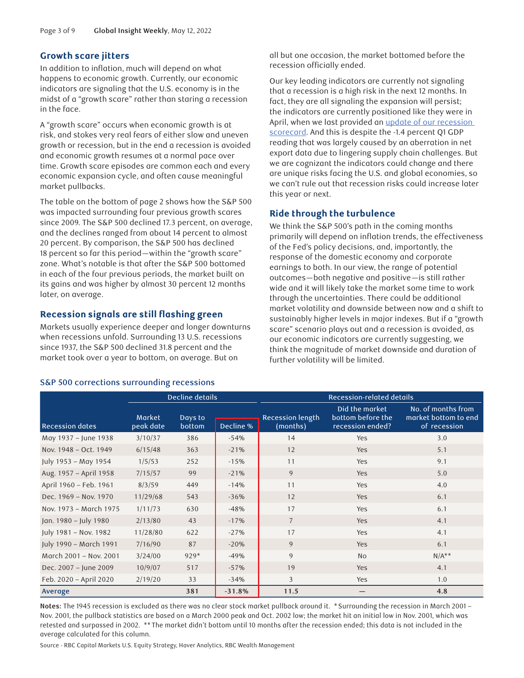#### **Growth scare jitters**

In addition to inflation, much will depend on what happens to economic growth. Currently, our economic indicators are signaling that the U.S. economy is in the midst of a "growth scare" rather than staring a recession in the face.

A "growth scare" occurs when economic growth is at risk, and stokes very real fears of either slow and uneven growth or recession, but in the end a recession is avoided and economic growth resumes at a normal pace over time. Growth scare episodes are common each and every economic expansion cycle, and often cause meaningful market pullbacks.

The table on the bottom of page 2 shows how the S&P 500 was impacted surrounding four previous growth scares since 2009. The S&P 500 declined 17.3 percent, on average, and the declines ranged from about 14 percent to almost 20 percent. By comparison, the S&P 500 has declined 18 percent so far this period—within the "growth scare" zone. What's notable is that after the S&P 500 bottomed in each of the four previous periods, the market built on its gains and was higher by almost 30 percent 12 months later, on average.

#### **Recession signals are still flashing green**

Markets usually experience deeper and longer downturns when recessions unfold. Surrounding 13 U.S. recessions since 1937, the S&P 500 declined 31.8 percent and the market took over a year to bottom, on average. But on

#### S&P 500 corrections surrounding recessions

all but one occasion, the market bottomed before the recession officially ended.

Our key leading indicators are currently not signaling that a recession is a high risk in the next 12 months. In fact, they are all signaling the expansion will persist; the indicators are currently positioned like they were in April, when we last provided an update of our recession [scorecard.](https://www.rbcinsight.com/WM/Share/ResearchViewer/?SSS_2B189B768C55DA851735C3B762FC9A0B) And this is despite the -1.4 percent Q1 GDP reading that was largely caused by an aberration in net export data due to lingering supply chain challenges. But we are cognizant the indicators could change and there are unique risks facing the U.S. and global economies, so we can't rule out that recession risks could increase later this year or next.

#### **Ride through the turbulence**

We think the S&P 500's path in the coming months primarily will depend on inflation trends, the effectiveness of the Fed's policy decisions, and, importantly, the response of the domestic economy and corporate earnings to both. In our view, the range of potential outcomes—both negative and positive—is still rather wide and it will likely take the market some time to work through the uncertainties. There could be additional market volatility and downside between now and a shift to sustainably higher levels in major indexes. But if a "growth scare" scenario plays out and a recession is avoided, as our economic indicators are currently suggesting, we think the magnitude of market downside and duration of further volatility will be limited.

|                        |                            | Decline details   |           | Recession-related details           |                                                         |                                                            |  |
|------------------------|----------------------------|-------------------|-----------|-------------------------------------|---------------------------------------------------------|------------------------------------------------------------|--|
| <b>Recession dates</b> | <b>Market</b><br>peak date | Days to<br>bottom | Decline % | <b>Recession length</b><br>(months) | Did the market<br>bottom before the<br>recession ended? | No. of months from<br>market bottom to end<br>of recession |  |
| May 1937 - June 1938   | 3/10/37                    | 386               | $-54%$    | 14                                  | <b>Yes</b>                                              | 3.0                                                        |  |
| Nov. 1948 - Oct. 1949  | 6/15/48                    | 363               | $-21%$    | 12                                  | <b>Yes</b>                                              | 5.1                                                        |  |
| July 1953 - May 1954   | 1/5/53                     | 252               | $-15%$    | 11                                  | Yes                                                     | 9.1                                                        |  |
| Aug. 1957 - April 1958 | 7/15/57                    | 99                | $-21%$    | 9                                   | Yes                                                     | 5.0                                                        |  |
| April 1960 - Feb. 1961 | 8/3/59                     | 449               | $-14%$    | 11                                  | Yes                                                     | 4.0                                                        |  |
| Dec. 1969 - Nov. 1970  | 11/29/68                   | 543               | $-36%$    | 12                                  | Yes                                                     | 6.1                                                        |  |
| Nov. 1973 - March 1975 | 1/11/73                    | 630               | $-48%$    | 17                                  | <b>Yes</b>                                              | 6.1                                                        |  |
| Jan. 1980 - July 1980  | 2/13/80                    | 43                | $-17%$    | $\overline{7}$                      | <b>Yes</b>                                              | 4.1                                                        |  |
| July 1981 - Nov. 1982  | 11/28/80                   | 622               | $-27%$    | 17                                  | Yes                                                     | 4.1                                                        |  |
| July 1990 - March 1991 | 7/16/90                    | 87                | $-20%$    | 9                                   | <b>Yes</b>                                              | 6.1                                                        |  |
| March 2001 - Nov. 2001 | 3/24/00                    | $929*$            | $-49%$    | 9                                   | <b>No</b>                                               | $N/A**$                                                    |  |
| Dec. 2007 - June 2009  | 10/9/07                    | 517               | $-57%$    | 19                                  | Yes                                                     | 4.1                                                        |  |
| Feb. 2020 - April 2020 | 2/19/20                    | 33                | $-34%$    | 3                                   | <b>Yes</b>                                              | 1.0                                                        |  |
| Average                |                            | 381               | $-31.8%$  | 11.5                                |                                                         | 4.8                                                        |  |

**Notes:** The 1945 recession is excluded as there was no clear stock market pullback around it. \*Surrounding the recession in March 2001 – Nov. 2001, the pullback statistics are based on a March 2000 peak and Oct. 2002 low; the market hit an initial low in Nov. 2001, which was retested and surpassed in 2002. \*\*The market didn't bottom until 10 months after the recession ended; this data is not included in the average calculated for this column.

Source - RBC Capital Markets U.S. Equity Strategy, Haver Analytics, RBC Wealth Management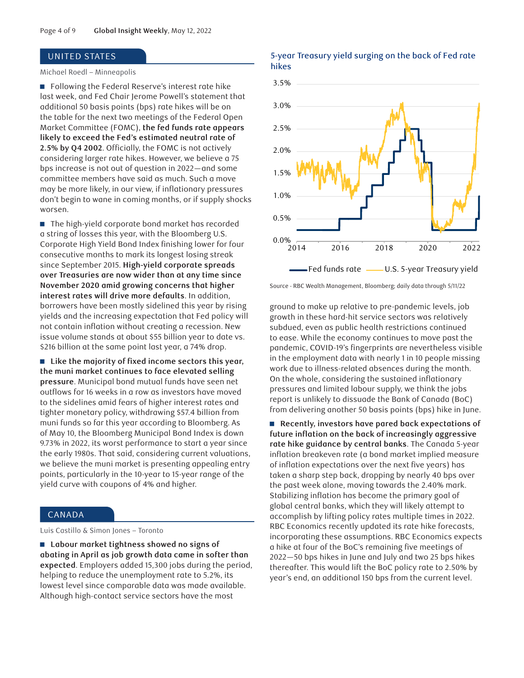#### <span id="page-3-0"></span>UNITED STATES

#### Michael Roedl – Minneapolis

■ Following the Federal Reserve's interest rate hike last week, and Fed Chair Jerome Powell's statement that additional 50 basis points (bps) rate hikes will be on the table for the next two meetings of the Federal Open Market Committee (FOMC), **the fed funds rate appears likely to exceed the Fed's estimated neutral rate of 2.5% by Q4 2002**. Officially, the FOMC is not actively considering larger rate hikes. However, we believe a 75 bps increase is not out of question in 2022—and some committee members have said as much. Such a move may be more likely, in our view, if inflationary pressures don't begin to wane in coming months, or if supply shocks worsen.

■ The high-yield corporate bond market has recorded a string of losses this year, with the Bloomberg U.S. Corporate High Yield Bond Index finishing lower for four consecutive months to mark its longest losing streak since September 2015. **High-yield corporate spreads over Treasuries are now wider than at any time since November 2020 amid growing concerns that higher interest rates will drive more defaults**. In addition, borrowers have been mostly sidelined this year by rising yields and the increasing expectation that Fed policy will not contain inflation without creating a recession. New issue volume stands at about \$55 billion year to date vs. \$216 billion at the same point last year, a 74% drop.

■ Like the majority of fixed income sectors this year, **the muni market continues to face elevated selling pressure**. Municipal bond mutual funds have seen net outflows for 16 weeks in a row as investors have moved to the sidelines amid fears of higher interest rates and tighter monetary policy, withdrawing \$57.4 billion from muni funds so far this year according to Bloomberg. As of May 10, the Bloomberg Municipal Bond Index is down 9.73% in 2022, its worst performance to start a year since the early 1980s. That said, considering current valuations, we believe the muni market is presenting appealing entry points, particularly in the 10-year to 15-year range of the yield curve with coupons of 4% and higher.

#### CANADA

Luis Castillo & Simon Jones – Toronto

■ Labour market tightness showed no signs of **abating in April as job growth data came in softer than expected**. Employers added 15,300 jobs during the period, helping to reduce the unemployment rate to 5.2%, its lowest level since comparable data was made available. Although high-contact service sectors have the most

#### 5-year Treasury yield surging on the back of Fed rate hikes



Source - RBC Wealth Management, Bloomberg; daily data through 5/11/22

ground to make up relative to pre-pandemic levels, job growth in these hard-hit service sectors was relatively subdued, even as public health restrictions continued to ease. While the economy continues to move past the pandemic, COVID-19's fingerprints are nevertheless visible in the employment data with nearly 1 in 10 people missing work due to illness-related absences during the month. On the whole, considering the sustained inflationary pressures and limited labour supply, we think the jobs report is unlikely to dissuade the Bank of Canada (BoC) from delivering another 50 basis points (bps) hike in June.

n **Recently, investors have pared back expectations of future inflation on the back of increasingly aggressive rate hike guidance by central banks**. The Canada 5-year inflation breakeven rate (a bond market implied measure of inflation expectations over the next five years) has taken a sharp step back, dropping by nearly 40 bps over the past week alone, moving towards the 2.40% mark. Stabilizing inflation has become the primary goal of global central banks, which they will likely attempt to accomplish by lifting policy rates multiple times in 2022. RBC Economics recently updated its rate hike forecasts, incorporating these assumptions. RBC Economics expects a hike at four of the BoC's remaining five meetings of 2022—50 bps hikes in June and July and two 25 bps hikes thereafter. This would lift the BoC policy rate to 2.50% by year's end, an additional 150 bps from the current level.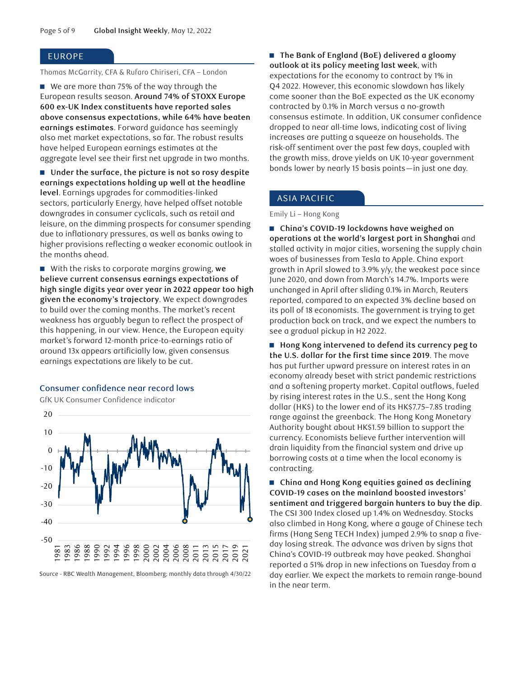#### EUROPE

Thomas McGarrity, CFA & Rufaro Chiriseri, CFA – London

■ We are more than 75% of the way through the European results season. **Around 74% of STOXX Europe 600 ex-UK Index constituents have reported sales above consensus expectations, while 64% have beaten earnings estimates**. Forward guidance has seemingly also met market expectations, so far. The robust results have helped European earnings estimates at the aggregate level see their first net upgrade in two months.

■ Under the surface, the picture is not so rosy despite **earnings expectations holding up well at the headline level**. Earnings upgrades for commodities-linked sectors, particularly Energy, have helped offset notable downgrades in consumer cyclicals, such as retail and leisure, on the dimming prospects for consumer spending due to inflationary pressures, as well as banks owing to higher provisions reflecting a weaker economic outlook in the months ahead.

■ With the risks to corporate margins growing, we **believe current consensus earnings expectations of high single digits year over year in 2022 appear too high given the economy's trajectory**. We expect downgrades to build over the coming months. The market's recent weakness has arguably begun to reflect the prospect of this happening, in our view. Hence, the European equity market's forward 12-month price-to-earnings ratio of around 13x appears artificially low, given consensus earnings expectations are likely to be cut.

#### Consumer confidence near record lows

GfK UK Consumer Confidence indicator



Source - RBC Wealth Management, Bloomberg; monthly data through 4/30/22

■ The Bank of England (BoE) delivered a gloomy **outlook at its policy meeting last week**, with expectations for the economy to contract by 1% in Q4 2022. However, this economic slowdown has likely come sooner than the BoE expected as the UK economy contracted by 0.1% in March versus a no-growth consensus estimate. In addition, UK consumer confidence dropped to near all-time lows, indicating cost of living increases are putting a squeeze on households. The risk-off sentiment over the past few days, coupled with the growth miss, drove yields on UK 10-year government bonds lower by nearly 15 basis points—in just one day.

#### ASIA PACIFIC

Emily Li – Hong Kong

■ China's COVID-19 lockdowns have weighed on **operations at the world's largest port in Shanghai** and stalled activity in major cities, worsening the supply chain woes of businesses from Tesla to Apple. China export growth in April slowed to 3.9% y/y, the weakest pace since June 2020, and down from March's 14.7%. Imports were unchanged in April after sliding 0.1% in March, Reuters reported, compared to an expected 3% decline based on its poll of 18 economists. The government is trying to get production back on track, and we expect the numbers to see a gradual pickup in H2 2022.

■ Hong Kong intervened to defend its currency peg to **the U.S. dollar for the first time since 2019**. The move has put further upward pressure on interest rates in an economy already beset with strict pandemic restrictions and a softening property market. Capital outflows, fueled by rising interest rates in the U.S., sent the Hong Kong dollar (HK\$) to the lower end of its HK\$7.75–7.85 trading range against the greenback. The Hong Kong Monetary Authority bought about HK\$1.59 billion to support the currency. Economists believe further intervention will drain liquidity from the financial system and drive up borrowing costs at a time when the local economy is contracting.

■ China and Hong Kong equities gained as declining **COVID-19 cases on the mainland boosted investors' sentiment and triggered bargain hunters to buy the dip**. The CSI 300 Index closed up 1.4% on Wednesday. Stocks also climbed in Hong Kong, where a gauge of Chinese tech firms (Hang Seng TECH Index) jumped 2.9% to snap a fiveday losing streak. The advance was driven by signs that China's COVID-19 outbreak may have peaked. Shanghai reported a 51% drop in new infections on Tuesday from a day earlier. We expect the markets to remain range-bound in the near term.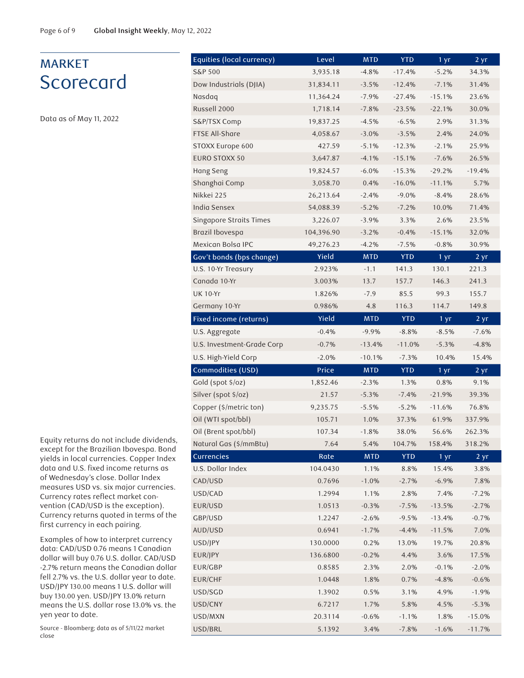## MARKET **Scorecard**

Data as of May 11, 2022

Equity returns do not include dividends, except for the Brazilian Ibovespa. Bond yields in local currencies. Copper Index data and U.S. fixed income returns as of Wednesday's close. Dollar Index measures USD vs. six major currencies. Currency rates reflect market convention (CAD/USD is the exception). Currency returns quoted in terms of the first currency in each pairing.

Examples of how to interpret currency data: CAD/USD 0.76 means 1 Canadian dollar will buy 0.76 U.S. dollar. CAD/USD -2.7% return means the Canadian dollar fell 2.7% vs. the U.S. dollar year to date. USD/JPY 130.00 means 1 U.S. dollar will buy 130.00 yen. USD/JPY 13.0% return means the U.S. dollar rose 13.0% vs. the yen year to date.

Source - Bloomberg; data as of 5/11/22 market close

| Equities (local currency)  | Level      | <b>MTD</b> | <b>YTD</b> | 1 yr              | 2 yr              |
|----------------------------|------------|------------|------------|-------------------|-------------------|
| S&P 500                    | 3,935.18   | $-4.8%$    | $-17.4%$   | $-5.2%$           | 34.3%             |
| Dow Industrials (DJIA)     | 31,834.11  | $-3.5%$    | $-12.4%$   | $-7.1%$           | 31.4%             |
| Nasdaq                     | 11,364.24  | $-7.9%$    | $-27.4%$   | $-15.1%$          | 23.6%             |
| Russell 2000               | 1,718.14   | $-7.8%$    | $-23.5%$   | $-22.1%$          | 30.0%             |
| S&P/TSX Comp               | 19,837.25  | $-4.5%$    | $-6.5%$    | 2.9%              | 31.3%             |
| <b>FTSE All-Share</b>      | 4,058.67   | $-3.0%$    | $-3.5%$    | 2.4%              | 24.0%             |
| STOXX Europe 600           | 427.59     | $-5.1%$    | $-12.3%$   | $-2.1%$           | 25.9%             |
| <b>EURO STOXX 50</b>       | 3,647.87   | $-4.1%$    | $-15.1%$   | $-7.6%$           | 26.5%             |
| Hang Seng                  | 19,824.57  | $-6.0%$    | $-15.3%$   | $-29.2%$          | $-19.4%$          |
| Shanghai Comp              | 3,058.70   | 0.4%       | $-16.0%$   | $-11.1%$          | 5.7%              |
| Nikkei 225                 | 26,213.64  | $-2.4%$    | $-9.0%$    | $-8.4%$           | 28.6%             |
| India Sensex               | 54,088.39  | $-5.2%$    | $-7.2%$    | 10.0%             | 71.4%             |
| Singapore Straits Times    | 3,226.07   | $-3.9%$    | 3.3%       | 2.6%              | 23.5%             |
| Brazil Ibovespa            | 104,396.90 | $-3.2%$    | $-0.4%$    | $-15.1%$          | 32.0%             |
| Mexican Bolsa IPC          | 49,276.23  | $-4.2%$    | $-7.5%$    | $-0.8%$           | 30.9%             |
| Gov't bonds (bps change)   | Yield      | <b>MTD</b> | <b>YTD</b> | 1 yr              | $2 \, yr$         |
| U.S. 10-Yr Treasury        | 2.923%     | $-1.1$     | 141.3      | 130.1             | 221.3             |
| Canada 10-Yr               | 3.003%     | 13.7       | 157.7      | 146.3             | 241.3             |
| <b>UK 10-Yr</b>            | 1.826%     | $-7.9$     | 85.5       | 99.3              | 155.7             |
| Germany 10-Yr              | 0.986%     | 4.8        | 116.3      | 114.7             | 149.8             |
| Fixed income (returns)     | Yield      | <b>MTD</b> | <b>YTD</b> | 1 <sub>yr</sub>   | $2 \overline{yr}$ |
| U.S. Aggregate             | $-0.4%$    | $-9.9%$    | $-8.8%$    | $-8.5%$           | $-7.6%$           |
| U.S. Investment-Grade Corp | $-0.7%$    | $-13.4%$   | $-11.0%$   | $-5.3%$           | $-4.8%$           |
| U.S. High-Yield Corp       | $-2.0%$    | $-10.1%$   | $-7.3%$    | 10.4%             | 15.4%             |
| Commodities (USD)          | Price      | <b>MTD</b> | <b>YTD</b> | $1 \,\mathrm{yr}$ | 2 yr              |
| Gold (spot \$/oz)          | 1,852.46   | $-2.3%$    | 1.3%       | 0.8%              | 9.1%              |
| Silver (spot \$/oz)        | 21.57      | $-5.3%$    | $-7.4%$    | $-21.9%$          | 39.3%             |
| Copper (\$/metric ton)     | 9,235.75   | $-5.5%$    | $-5.2%$    | $-11.6%$          | 76.8%             |
| Oil (WTI spot/bbl)         | 105.71     | 1.0%       | 37.3%      | 61.9%             | 337.9%            |
| Oil (Brent spot/bbl)       | 107.34     | $-1.8%$    | 38.0%      | 56.6%             | 262.3%            |
| Natural Gas (\$/mmBtu)     | 7.64       | 5.4%       | 104.7%     | 158.4%            | 318.2%            |
| Currencies                 | Rate       | <b>MTD</b> | <b>YTD</b> | 1 <sub>yr</sub>   | $2 \, yr$         |
| U.S. Dollar Index          | 104.0430   | 1.1%       | 8.8%       | 15.4%             | 3.8%              |
| CAD/USD                    | 0.7696     | $-1.0%$    | $-2.7%$    | $-6.9%$           | 7.8%              |
| USD/CAD                    | 1.2994     | 1.1%       | 2.8%       | 7.4%              | $-7.2%$           |
| EUR/USD                    | 1.0513     | $-0.3%$    | $-7.5%$    | $-13.5%$          | $-2.7%$           |
| GBP/USD                    | 1.2247     | $-2.6%$    | $-9.5%$    | $-13.4%$          | $-0.7%$           |
| AUD/USD                    | 0.6941     | $-1.7%$    | $-4.4%$    | $-11.5%$          | 7.0%              |
| USD/JPY                    | 130.0000   | 0.2%       | 13.0%      | 19.7%             | 20.8%             |
| EUR/JPY                    | 136.6800   | $-0.2%$    | 4.4%       | 3.6%              | 17.5%             |
| EUR/GBP                    | 0.8585     | 2.3%       | 2.0%       | $-0.1%$           | $-2.0%$           |
| EUR/CHF                    | 1.0448     | 1.8%       | 0.7%       | $-4.8%$           | $-0.6%$           |
| USD/SGD                    | 1.3902     | 0.5%       | 3.1%       | 4.9%              | $-1.9%$           |
| USD/CNY                    | 6.7217     | 1.7%       | 5.8%       | 4.5%              | $-5.3%$           |
| USD/MXN                    | 20.3114    | $-0.6%$    | $-1.1%$    | 1.8%              | $-15.0%$          |
| USD/BRL                    | 5.1392     | 3.4%       | $-7.8%$    | $-1.6%$           | $-11.7%$          |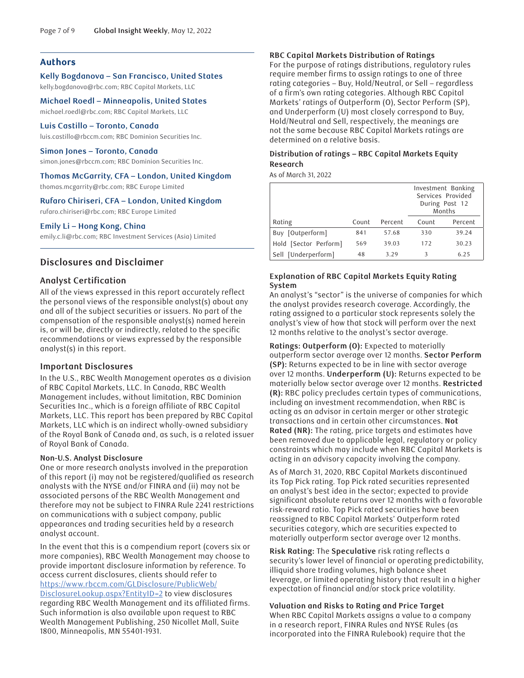### **Authors**

**Kelly Bogdanova – San Francisco, United States**  kelly.bogdanova@rbc.com; RBC Capital Markets, LLC

**Michael Roedl – Minneapolis, United States**  michael.roedl@rbc.com; RBC Capital Markets, LLC

#### **Luis Castillo – Toronto, Canada**

luis.castillo@rbccm.com; RBC Dominion Securities Inc.

#### **Simon Jones – Toronto, Canada**

simon.jones@rbccm.com; RBC Dominion Securities Inc.

#### **Thomas McGarrity, CFA – London, United Kingdom**

thomas.mcgarrity@rbc.com; RBC Europe Limited

#### **Rufaro Chiriseri, CFA – London, United Kingdom**

rufaro.chiriseri@rbc.com; RBC Europe Limited

#### **Emily Li – Hong Kong, China**

emily.c.li@rbc.com; RBC Investment Services (Asia) Limited

#### **Disclosures and Disclaimer**

#### **Analyst Certification**

All of the views expressed in this report accurately reflect the personal views of the responsible analyst(s) about any and all of the subject securities or issuers. No part of the compensation of the responsible analyst(s) named herein is, or will be, directly or indirectly, related to the specific recommendations or views expressed by the responsible analyst(s) in this report.

#### **Important Disclosures**

In the U.S., RBC Wealth Management operates as a division of RBC Capital Markets, LLC. In Canada, RBC Wealth Management includes, without limitation, RBC Dominion Securities Inc., which is a foreign affiliate of RBC Capital Markets, LLC. This report has been prepared by RBC Capital Markets, LLC which is an indirect wholly-owned subsidiary of the Royal Bank of Canada and, as such, is a related issuer of Royal Bank of Canada.

#### **Non-U.S. Analyst Disclosure**

One or more research analysts involved in the preparation of this report (i) may not be registered/qualified as research analysts with the NYSE and/or FINRA and (ii) may not be associated persons of the RBC Wealth Management and therefore may not be subject to FINRA Rule 2241 restrictions on communications with a subject company, public appearances and trading securities held by a research analyst account.

In the event that this is a compendium report (covers six or more companies), RBC Wealth Management may choose to provide important disclosure information by reference. To access current disclosures, clients should refer to [https://www.rbccm.com/GLDisclosure/PublicWeb/](https://www.rbccm.com/GLDisclosure/PublicWeb/DisclosureLookup.aspx?EntityID=2) [DisclosureLookup.aspx?EntityID=2](https://www.rbccm.com/GLDisclosure/PublicWeb/DisclosureLookup.aspx?EntityID=2) to view disclosures regarding RBC Wealth Management and its affiliated firms. Such information is also available upon request to RBC Wealth Management Publishing, 250 Nicollet Mall, Suite 1800, Minneapolis, MN 55401-1931.

#### **RBC Capital Markets Distribution of Ratings**

For the purpose of ratings distributions, regulatory rules require member firms to assign ratings to one of three rating categories – Buy, Hold/Neutral, or Sell – regardless of a firm's own rating categories. Although RBC Capital Markets' ratings of Outperform (O), Sector Perform (SP), and Underperform (U) most closely correspond to Buy, Hold/Neutral and Sell, respectively, the meanings are not the same because RBC Capital Markets ratings are determined on a relative basis.

#### **Distribution of ratings – RBC Capital Markets Equity Research**

As of March 31, 2022

|                       |       |         | Investment Banking<br>Services Provided<br>During Past 12<br>Months |         |  |
|-----------------------|-------|---------|---------------------------------------------------------------------|---------|--|
| Rating                | Count | Percent | Count                                                               | Percent |  |
| Buy [Outperform]      | 841   | 57.68   | 330                                                                 | 39.24   |  |
| Hold [Sector Perform] | 569   | 39.03   | 172                                                                 | 30.23   |  |
| Sell [Underperform]   | 48    | 3.29    | 3                                                                   | 6.25    |  |

#### **Explanation of RBC Capital Markets Equity Rating System**

An analyst's "sector" is the universe of companies for which the analyst provides research coverage. Accordingly, the rating assigned to a particular stock represents solely the analyst's view of how that stock will perform over the next 12 months relative to the analyst's sector average.

**Ratings: Outperform (O):** Expected to materially outperform sector average over 12 months. **Sector Perform (SP):** Returns expected to be in line with sector average over 12 months. **Underperform (U):** Returns expected to be materially below sector average over 12 months. **Restricted (R):** RBC policy precludes certain types of communications, including an investment recommendation, when RBC is acting as an advisor in certain merger or other strategic transactions and in certain other circumstances. **Not Rated (NR):** The rating, price targets and estimates have been removed due to applicable legal, regulatory or policy constraints which may include when RBC Capital Markets is acting in an advisory capacity involving the company.

As of March 31, 2020, RBC Capital Markets discontinued its Top Pick rating. Top Pick rated securities represented an analyst's best idea in the sector; expected to provide significant absolute returns over 12 months with a favorable risk-reward ratio. Top Pick rated securities have been reassigned to RBC Capital Markets' Outperform rated securities category, which are securities expected to materially outperform sector average over 12 months.

**Risk Rating:** The **Speculative** risk rating reflects a security's lower level of financial or operating predictability, illiquid share trading volumes, high balance sheet leverage, or limited operating history that result in a higher expectation of financial and/or stock price volatility.

#### **Valuation and Risks to Rating and Price Target**

When RBC Capital Markets assigns a value to a company in a research report, FINRA Rules and NYSE Rules (as incorporated into the FINRA Rulebook) require that the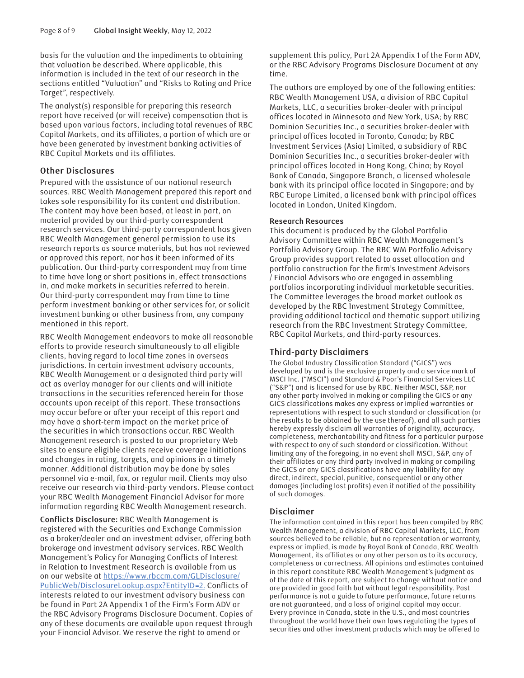basis for the valuation and the impediments to obtaining that valuation be described. Where applicable, this information is included in the text of our research in the sections entitled "Valuation" and "Risks to Rating and Price Target", respectively.

The analyst(s) responsible for preparing this research report have received (or will receive) compensation that is based upon various factors, including total revenues of RBC Capital Markets, and its affiliates, a portion of which are or have been generated by investment banking activities of RBC Capital Markets and its affiliates.

#### **Other Disclosures**

Prepared with the assistance of our national research sources. RBC Wealth Management prepared this report and takes sole responsibility for its content and distribution. The content may have been based, at least in part, on material provided by our third-party correspondent research services. Our third-party correspondent has given RBC Wealth Management general permission to use its research reports as source materials, but has not reviewed or approved this report, nor has it been informed of its publication. Our third-party correspondent may from time to time have long or short positions in, effect transactions in, and make markets in securities referred to herein. Our third-party correspondent may from time to time perform investment banking or other services for, or solicit investment banking or other business from, any company mentioned in this report.

RBC Wealth Management endeavors to make all reasonable efforts to provide research simultaneously to all eligible clients, having regard to local time zones in overseas jurisdictions. In certain investment advisory accounts, RBC Wealth Management or a designated third party will act as overlay manager for our clients and will initiate transactions in the securities referenced herein for those accounts upon receipt of this report. These transactions may occur before or after your receipt of this report and may have a short-term impact on the market price of the securities in which transactions occur. RBC Wealth Management research is posted to our proprietary Web sites to ensure eligible clients receive coverage initiations and changes in rating, targets, and opinions in a timely manner. Additional distribution may be done by sales personnel via e-mail, fax, or regular mail. Clients may also receive our research via third-party vendors. Please contact your RBC Wealth Management Financial Advisor for more information regarding RBC Wealth Management research.

**Conflicts Disclosure:** RBC Wealth Management is registered with the Securities and Exchange Commission as a broker/dealer and an investment adviser, offering both brokerage and investment advisory services. RBC Wealth Management's Policy for Managing Conflicts of Interest in Relation to Investment Research is available from us on our website at [https://www.rbccm.com/GLDisclosure/](https://www.rbccm.com/GLDisclosure/PublicWeb/DisclosureLookup.aspx?EntityID=2) [PublicWeb/DisclosureLookup.aspx?EntityID=2.](https://www.rbccm.com/GLDisclosure/PublicWeb/DisclosureLookup.aspx?EntityID=2) Conflicts of interests related to our investment advisory business can be found in Part 2A Appendix 1 of the Firm's Form ADV or the RBC Advisory Programs Disclosure Document. Copies of any of these documents are available upon request through your Financial Advisor. We reserve the right to amend or

supplement this policy, Part 2A Appendix 1 of the Form ADV, or the RBC Advisory Programs Disclosure Document at any time.

The authors are employed by one of the following entities: RBC Wealth Management USA, a division of RBC Capital Markets, LLC, a securities broker-dealer with principal offices located in Minnesota and New York, USA; by RBC Dominion Securities Inc., a securities broker-dealer with principal offices located in Toronto, Canada; by RBC Investment Services (Asia) Limited, a subsidiary of RBC Dominion Securities Inc., a securities broker-dealer with principal offices located in Hong Kong, China; by Royal Bank of Canada, Singapore Branch, a licensed wholesale bank with its principal office located in Singapore; and by RBC Europe Limited, a licensed bank with principal offices located in London, United Kingdom.

#### **Research Resources**

This document is produced by the Global Portfolio Advisory Committee within RBC Wealth Management's Portfolio Advisory Group. The RBC WM Portfolio Advisory Group provides support related to asset allocation and portfolio construction for the firm's Investment Advisors / Financial Advisors who are engaged in assembling portfolios incorporating individual marketable securities. The Committee leverages the broad market outlook as developed by the RBC Investment Strategy Committee, providing additional tactical and thematic support utilizing research from the RBC Investment Strategy Committee, RBC Capital Markets, and third-party resources.

#### **Third-party Disclaimers**

The Global Industry Classification Standard ("GICS") was developed by and is the exclusive property and a service mark of MSCI Inc. ("MSCI") and Standard & Poor's Financial Services LLC ("S&P") and is licensed for use by RBC. Neither MSCI, S&P, nor any other party involved in making or compiling the GICS or any GICS classifications makes any express or implied warranties or representations with respect to such standard or classification (or the results to be obtained by the use thereof), and all such parties hereby expressly disclaim all warranties of originality, accuracy, completeness, merchantability and fitness for a particular purpose with respect to any of such standard or classification. Without limiting any of the foregoing, in no event shall MSCI, S&P, any of their affiliates or any third party involved in making or compiling the GICS or any GICS classifications have any liability for any direct, indirect, special, punitive, consequential or any other damages (including lost profits) even if notified of the possibility of such damages.

#### **Disclaimer**

The information contained in this report has been compiled by RBC Wealth Management, a division of RBC Capital Markets, LLC, from sources believed to be reliable, but no representation or warranty, express or implied, is made by Royal Bank of Canada, RBC Wealth Management, its affiliates or any other person as to its accuracy, completeness or correctness. All opinions and estimates contained in this report constitute RBC Wealth Management's judgment as of the date of this report, are subject to change without notice and are provided in good faith but without legal responsibility. Past performance is not a guide to future performance, future returns are not guaranteed, and a loss of original capital may occur. Every province in Canada, state in the U.S., and most countries throughout the world have their own laws regulating the types of securities and other investment products which may be offered to